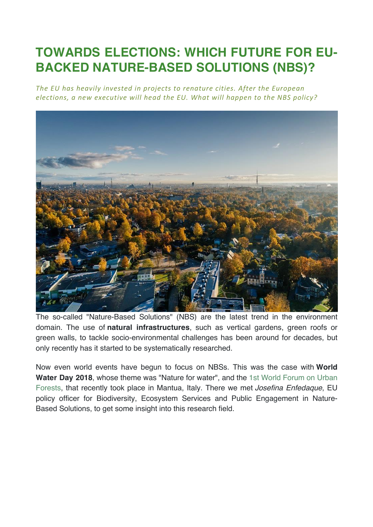# **TOWARDS ELECTIONS: WHICH FUTURE FOR EU-BACKED NATURE-BASED SOLUTIONS (NBS)?**

The EU has heavily invested in projects to renature cities. After the European elections, a new executive will head the EU. What will happen to the NBS policy?



The so-called "Nature-Based Solutions" (NBS) are the latest trend in the environment domain. The use of **natural infrastructures**, such as vertical gardens, green roofs or green walls, to tackle socio-environmental challenges has been around for decades, but only recently has it started to be systematically researched.

Now even world events have begun to focus on NBSs. This was the case with **World Water Day 2018**, whose theme was "Nature for water", and the 1st World Forum on Urban Forests, that recently took place in Mantua, Italy. There we met *Josefina Enfedaque*, EU policy officer for Biodiversity, Ecosystem Services and Public Engagement in Nature-Based Solutions, to get some insight into this research field.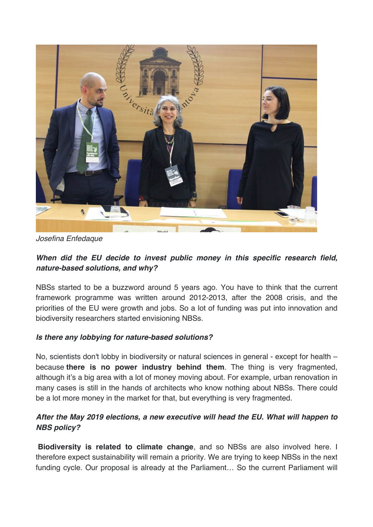

*Josefina Enfedaque*

## *When did the EU decide to invest public money in this specific research field, nature-based solutions, and why?*

NBSs started to be a buzzword around 5 years ago. You have to think that the current framework programme was written around 2012-2013, after the 2008 crisis, and the priorities of the EU were growth and jobs. So a lot of funding was put into innovation and biodiversity researchers started envisioning NBSs.

#### *Is there any lobbying for nature-based solutions?*

No, scientists don't lobby in biodiversity or natural sciences in general - except for health – because **there is no power industry behind them**. The thing is very fragmented, although it's a big area with a lot of money moving about. For example, urban renovation in many cases is still in the hands of architects who know nothing about NBSs. There could be a lot more money in the market for that, but everything is very fragmented.

### *After the May 2019 elections, a new executive will head the EU. What will happen to NBS policy?*

**Biodiversity is related to climate change**, and so NBSs are also involved here. I therefore expect sustainability will remain a priority. We are trying to keep NBSs in the next funding cycle. Our proposal is already at the Parliament... So the current Parliament will